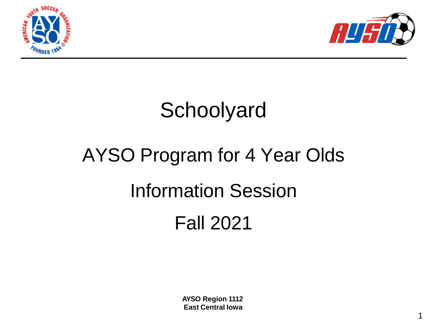



1

### **Schoolyard**

# AYSO Program for 4 Year Olds Information Session Fall 2021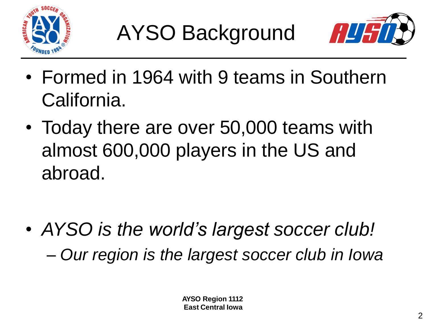



- Formed in 1964 with 9 teams in Southern California.
- Today there are over 50,000 teams with almost 600,000 players in the US and abroad.

• *AYSO is the world's largest soccer club!* – *Our region is the largest soccer club in Iowa*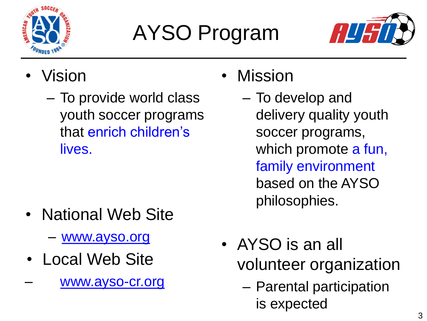

## AYSO Program



- Vision
	- To provide world class youth soccer programs that enrich children's lives.

- National Web Site
	- [www.ayso.org](http://www.ayso.org/)
- Local Web Site
- [www.ayso-cr.org](http://www.ayso-cr.org/)
- Mission
	- To develop and delivery quality youth soccer programs, which promote a fun, family environment based on the AYSO philosophies.
- AYSO is an all volunteer organization
	- Parental participation is expected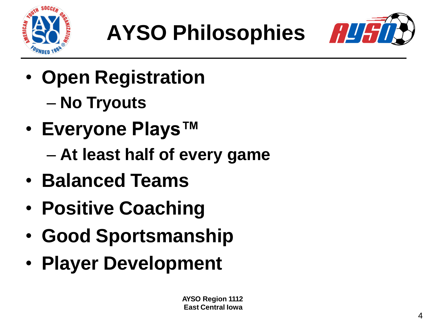

## **AYSO Philosophies**



- **Open Registration** – **No Tryouts**
- **Everyone Plays™** – **At least half of every game**
- **Balanced Teams**
- **Positive Coaching**
- **Good Sportsmanship**
- **Player Development**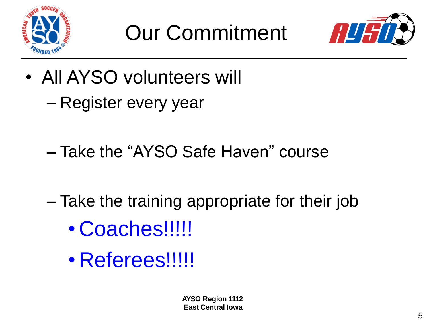



- All AYSO volunteers will – Register every year
	- Take the "AYSO Safe Haven" course
	- Take the training appropriate for their job • Coaches!!!!!
		- Referees!!!!!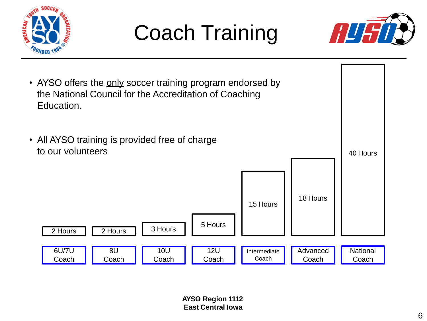

### Coach Training



8U Coach 10U **Coach** 12U Coach Intermediate Coach Advanced Coach **National** Coach 6U/7U Coach  $\overline{2 \text{ Hours}}$   $\overline{2 \text{ Hours}}$   $\overline{3 \text{ Hours}}$   $\overline{5 \text{ Hours}}$ 15 Hours 18 Hours 40 Hours • AYSO offers the only soccer training program endorsed by the National Council for the Accreditation of Coaching Education. • All AYSO training is provided free of charge to our volunteers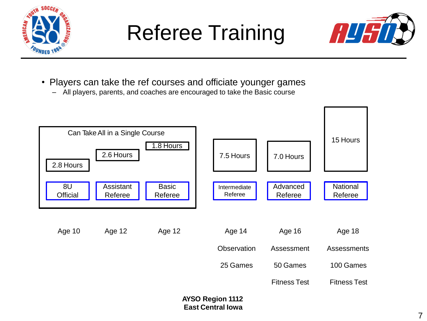

### Referee Training



- Players can take the ref courses and officiate younger games
	- All players, parents, and coaches are encouraged to take the Basic course

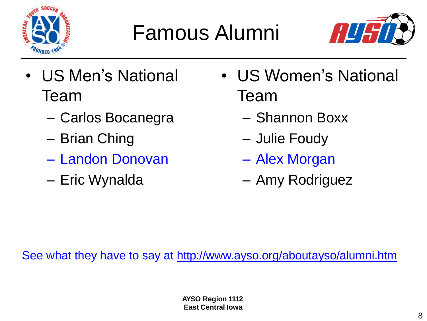

## Famous Alumni



- US Men's National Team
	- Carlos Bocanegra
	- Brian Ching
	- Landon Donovan
	- Eric Wynalda
- US Women's National Team
	- Shannon Boxx
	- Julie Foudy
	- Alex Morgan
	- Amy Rodriguez

See what they have to say at <http://www.ayso.org/aboutayso/alumni.htm>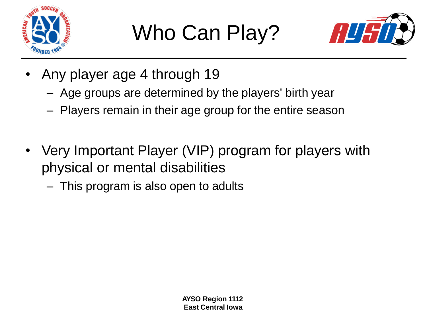

## Who Can Play?



- Any player age 4 through 19
	- Age groups are determined by the players' birth year
	- Players remain in their age group for the entire season
- Very Important Player (VIP) program for players with physical or mental disabilities
	- This program is also open to adults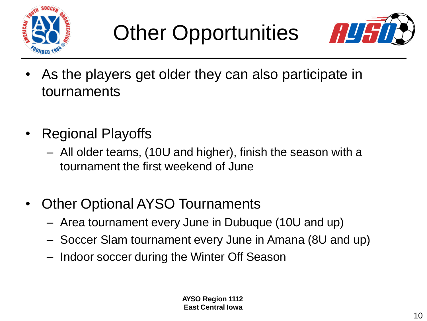



- As the players get older they can also participate in tournaments
- Regional Playoffs
	- All older teams, (10U and higher), finish the season with a tournament the first weekend of June
- Other Optional AYSO Tournaments
	- Area tournament every June in Dubuque (10U and up)
	- Soccer Slam tournament every June in Amana (8U and up)
	- Indoor soccer during the Winter Off Season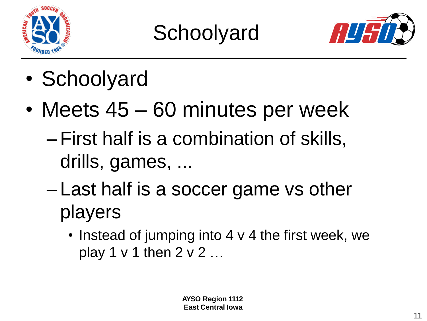



- Schoolyard
- Meets 45 60 minutes per week
	- –First half is a combination of skills, drills, games, ...
	- Last half is a soccer game vs other players
		- Instead of jumping into 4 v 4 the first week, we play 1 v 1 then 2 v 2 …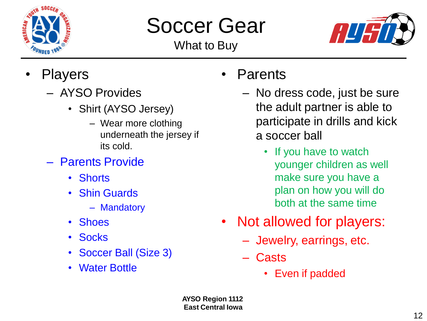

## Soccer Gear

What to Buy



- **Players** 
	- AYSO Provides
		- Shirt (AYSO Jersey)
			- Wear more clothing underneath the jersey if its cold.
	- Parents Provide
		- Shorts
		- Shin Guards
			- Mandatory
		- Shoes
		- Socks
		- Soccer Ball (Size 3)
		- Water Bottle
- **Parents** 
	- No dress code, just be sure the adult partner is able to participate in drills and kick a soccer ball
		- If you have to watch younger children as well make sure you have a plan on how you will do both at the same time
- Not allowed for players:
	- Jewelry, earrings, etc.
	- Casts
		- Even if padded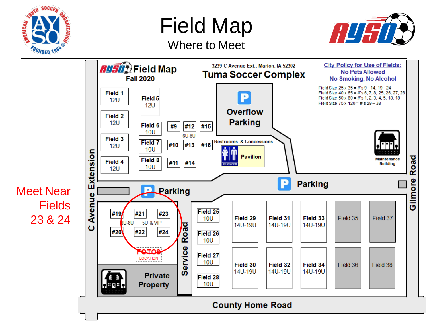

Field Map







Meet Near Fields 23 & 24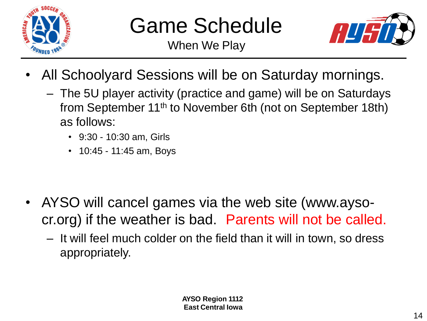

#### Game Schedule

When We Play



- All Schoolyard Sessions will be on Saturday mornings.
	- The 5U player activity (practice and game) will be on Saturdays from September 11th to November 6th (not on September 18th) as follows:
		- 9:30 10:30 am, Girls
		- 10:45 11:45 am, Boys

- AYSO will cancel games via the web site (www.aysocr.org) if the weather is bad. Parents will not be called.
	- It will feel much colder on the field than it will in town, so dress appropriately.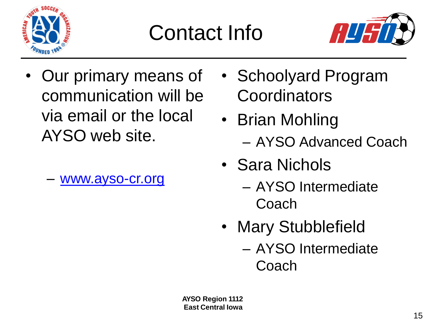

### Contact Info



- Our primary means of communication will be via email or the local AYSO web site.
	- [www.ayso-cr.org](http://www.ayso-cr.org/)
- Schoolyard Program **Coordinators**
- Brian Mohling – AYSO Advanced Coach
- Sara Nichols
	- AYSO Intermediate Coach
- Mary Stubblefield
	- AYSO Intermediate Coach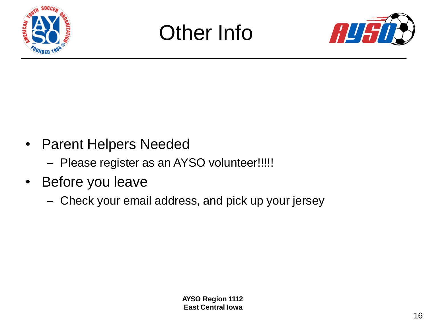





- Parent Helpers Needed
	- Please register as an AYSO volunteer!!!!!
- Before you leave
	- Check your email address, and pick up your jersey